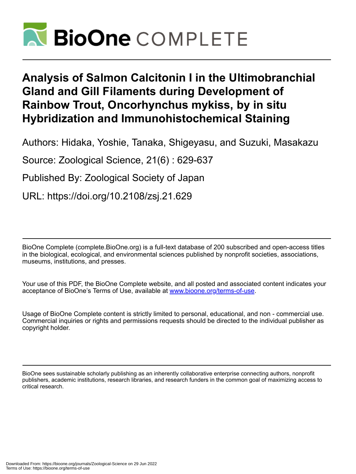

# **Analysis of Salmon Calcitonin I in the Ultimobranchial Gland and Gill Filaments during Development of Rainbow Trout, Oncorhynchus mykiss, by in situ Hybridization and Immunohistochemical Staining**

Authors: Hidaka, Yoshie, Tanaka, Shigeyasu, and Suzuki, Masakazu

Source: Zoological Science, 21(6) : 629-637

Published By: Zoological Society of Japan

URL: https://doi.org/10.2108/zsj.21.629

BioOne Complete (complete.BioOne.org) is a full-text database of 200 subscribed and open-access titles in the biological, ecological, and environmental sciences published by nonprofit societies, associations, museums, institutions, and presses.

Your use of this PDF, the BioOne Complete website, and all posted and associated content indicates your acceptance of BioOne's Terms of Use, available at www.bioone.org/terms-of-use.

Usage of BioOne Complete content is strictly limited to personal, educational, and non - commercial use. Commercial inquiries or rights and permissions requests should be directed to the individual publisher as copyright holder.

BioOne sees sustainable scholarly publishing as an inherently collaborative enterprise connecting authors, nonprofit publishers, academic institutions, research libraries, and research funders in the common goal of maximizing access to critical research.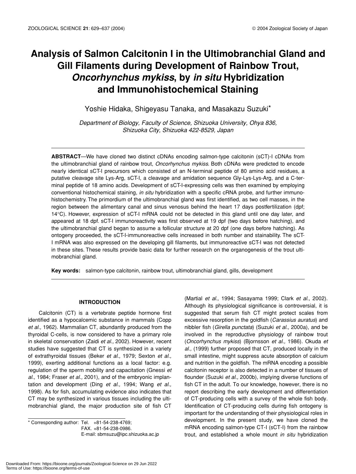## **Analysis of Salmon Calcitonin I in the Ultimobranchial Gland and Gill Filaments during Development of Rainbow Trout,** *Oncorhynchus mykiss***, by** *in situ* **Hybridization and Immunohistochemical Staining**

Yoshie Hidaka, Shigeyasu Tanaka, and Masakazu Suzuki\*

*Department of Biology, Faculty of Science, Shizuoka University, Ohya 836, Shizuoka City, Shizuoka 422-8529, Japan*

**ABSTRACT**—We have cloned two distinct cDNAs encoding salmon-type calcitonin (sCT)-I cDNAs from the ultimobranchial gland of rainbow trout, *Oncorhynchus mykiss*. Both cDNAs were predicted to encode nearly identical sCT-I precursors which consisted of an N-terminal peptide of 80 amino acid residues, a putative cleavage site Lys-Arg, sCT-I, a cleavage and amidation sequence Gly-Lys-Lys-Arg, and a C-terminal peptide of 18 amino acids. Development of sCT-I-expressing cells was then examined by employing conventional histochemical staining, *in situ* hybridization with a specific cRNA probe, and further immunohistochemistry. The primordium of the ultimobranchial gland was first identified, as two cell masses, in the region between the alimentary canal and sinus venosus behind the heart 17 days postfertilization (dpf; 14°C). However, expression of sCT-I mRNA could not be detected in this gland until one day later, and appeared at 18 dpf. sCT-I immunoreactivity was first observed at 19 dpf (two days before hatching), and the ultimobranchial gland began to assume a follicular structure at 20 dpf (one days before hatching). As ontogeny proceeded, the sCT-I-immunoreactive cells increased in both number and stainability. The sCT-I mRNA was also expressed on the developing gill filaments, but immunoreactive sCT-I was not detected in these sites. These results provide basic data for further research on the organogenesis of the trout ultimobranchial gland.

**Key words:** salmon-type calcitonin, rainbow trout, ultimobranchial gland, gills, development

## **INTRODUCTION**

Calcitonin (CT) is a vertebrate peptide hormone first identified as a hypocalcemic substance in mammals (Copp *et al.,* 1962). Mammalian CT, abundantly produced from the thyroidal C-cells, is now considered to have a primary role in skeletal conservation (Zaidi *et al.,* 2002). However, recent studies have suggested that CT is synthesized in a variety of extrathyroidal tissues (Beker *et al.,* 1979; Sexton *et al.,* 1999), exerting additional functions as a local factor: e.g. regulation of the sperm mobility and capacitation (Gnessi *et al.,* 1984; Fraser *et al.,* 2001), and of the embryonic implantation and development (Ding *et al.,* 1994; Wang *et al.,* 1998). As for fish, accumulating evidence also indicates that CT may be synthesized in various tissues including the ultimobranchial gland, the major production site of fish CT

 $*$  Corresponding author: Tel.  $+81-54-238-4769$ ; FAX. +81-54-238-0986. E-mail: sbmsuzu@ipc.shizuoka.ac.jp

(Martial *et al.,* 1994; Sasayama 1999; Clark *et al.,* 2002). Although its physiological significance is controversial, it is suggested that serum fish CT might protect scales from excessive resorption in the goldfish (*Carassius auratus*) and nibbler fish (*Girella punctata*) (Suzuki *et al.,* 2000a), and be involved in the reproductive physiology of rainbow trout (*Oncorhynchus mykiss*) (Bjornsson *et al.,* 1986). Okuda *et al.,* (1999) further proposed that CT, produced locally in the small intestine, might suppress acute absorption of calcium and nutrition in the goldfish. The mRNA encoding a possible calcitonin receptor is also detected in a number of tissues of flounder (Suzuki *et al.,* 2000b), implying diverse functions of fish CT in the adult. To our knowledge, however, there is no report describing the early development and differentiation of CT-producing cells with a survey of the whole fish body. Identification of CT-producing cells during fish ontogeny is important for the understanding of their physiological roles in development. In the present study, we have cloned the mRNA encoding salmon-type CT-I (sCT-I) from the rainbow trout, and established a whole mount *in situ* hybridization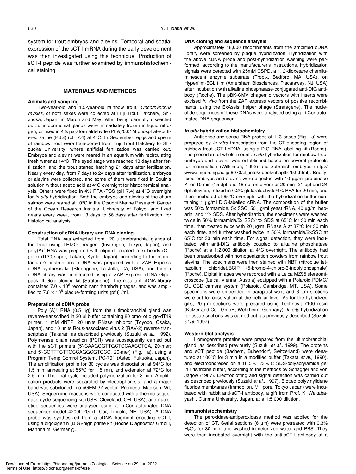system for trout embryos and alevins. Temporal and spatial expression of the sCT-I mRNA during the early development was then investigated using this technique. Production of sCT-I peptide was further examined by immunohistochemical staining.

## **MATERIALS AND METHODS**

#### **Animals and sampling**

Two-year-old and 1.5-year-old rainbow trout, *Oncorhynchus mykiss*, of both sexes were collected at Fuji Trout Hatchery, Shizuoka, Japan, in March and May. After being carefully dissected out, ultimobranchial glands were immediately frozen in liquid nitrogen, or fixed in 4% paraformaldehyde (PFA)/0.01M phosphate-buffered saline (PBS) (pH 7.4) at 4°C. In September, eggs and sperm of rainbow trout were transported from Fuji Trout Hatchery to Shizuoka University, where artificial fertilization was carried out. Embryos and alevins were reared in an aquarium with recirculating fresh water at 14°C. The eyed stage was reached 13 days after fertilization, and the trout started hatching 21 days after fertilization. Nearly every day, from 7 days to 24 days after fertilization, embryos or alevins were collected, and some of them were fixed in Bouin's solution without acetic acid at 4°C overnight for histochemical analysis. Others were fixed in 4% PFA /PBS (pH 7.4) at 4°C overnight for *in situ* hybridization. Both the embryos and alevins of the chum salmon were reared at 10°C in the Otsuchi Marine Research Center of the Ocean Research Institue, University of Tokyo, and fixed nearly every week, from 13 days to 56 days after fertilization, for histological analysis.

## **Construction of cDNA library and DNA cloning**

Total RNA was extracted from 120 ultimobranchial glands of the trout using TRIZOL reagent (Invitrogen, Tokyo, Japan), and poly(A)<sup>+</sup> RNA was prepared with oligo-dT coated latex beads (Oligotex-dT30 super; Takara, Kyoto, Japan), according to the manufacturer's instructions. cDNA was prepared with a ZAP Express cDNA synthesis kit (Stratagene, La Jolla, CA, USA), and then a cDNA library was constructed using a ZAP Express cDNA Gigapack III Gold cloning kit (Stratagene). The resultant cDNA library contained 7.0  $\times$  10<sup>6</sup> recombinant rhambda phages, and was amplified to  $7.6 \times 10^8$  plaque-forming units (pfu) /ml.

#### **Preparation of cDNA probe**

Poly  $(A)^+$  RNA (0.5 µg) from the ultimobranchial gland was reverse-transcribed in 20 µl buffer containing 80 pmol of oligo-dT19 primer, 1 mM dNTP, 20 units RNase inhibitor (Toyobo, Osaka, Japan), and 10 units Rous-associated virus 2 (RAV-2) reverse transcriptase (Takara), as described previously (Suzuki *et al*., 1992). Polymerase chain reaction (PCR) was subsequently carried out with the sCT primers (5'-CAAGCGTTGCTCCAACCTCA, 20-mer; and 5'-CGTTTCTTGCCAGGCGTGCC, 20-mer) (Fig. 1a), using a Program Temp Control System, PC-701 (Astec, Fukuoka, Japan). The amplification profile for 30 cycles was dissociation at 94°C for 1.5 min, annealing at 55°C for 1.5 min, and extension at 72°C for 2.5 min. The final cycle included polymerization for 8 min. Amplification products were separated by electrophoresis, and a major band was subcloned into pGEM-3Z vector (Promega, Madison, WI, USA). Sequencing reactions were conducted with a thermo sequenase cycle sequencing kit (USB, Cleveland, OH, USA), and nucleotide sequences were analysed using a Li-Cor automated DNA sequencer model 4200L-2G (Li-Cor, Lincoln, NE, USA). A DNA probe was synthesized from a cDNA fragment encoding sCT-I, using a digoxigenin (DIG)-high prime kit (Roche Diagnostics GmbH, Mannhaim, Germany).

#### **DNA cloning and sequence analysis**

Approximately 18,000 recombinants from the amplified cDNA library were screened by plaque hybridization. Hybridization with the above cDNA probe and post-hybridization washing were performed, according to the manufacturer's instructions. Hybridization signals were detected with 25mM CSPD, a 1, 2-dioxetane chemiluminescent enzyme substrate (Tropix, Bedford, MA, USA), on Hyperfilm-ECL film (Amersham Biosciences, Piscataway, NJ, USA) after incubation with alkaline phosphatase-conjugated anti-DIG antibody (Roche). The pBK-CMV phagemid vectors with inserts were excised *in vivo* from the ZAP express vectors of positive recombinants, using the ExAssist helper phage (Stratagene). The nucleotide sequences of these DNAs were analysed using a Li-Cor automated DNA sequencer.

#### *In situ* **hybridization histochemistry**

Antisense and sense RNA probes of 113 bases (Fig. 1a) were prepared by *in vitro* transcription from the CT-encoding region of rainbow trout sCT-I cDNA, using a DIG RNA labelling kit (Roche). The procedure of whole-mount *in situ* hybridization for rainbow trout embryos and alevins was established based on several protocols for mammalian (Wilkinson, 1992) and zebrafish embryos (http:// www.shigen.nig.ac.jp:6070/zf\_info/zfbook/chapt9 /9.9.html). Briefly, fixed embryos and alevins were digested with 10 µg/ml proteinase K for 10 min (15 dpf and 18 dpf embryos) or 20 min (21 dpf and 24 dpf alevins), refixed in 0.2% glutaraldehyde/4% PFA for 20 min, and then incubated at 65°C overnight with the hybridization buffer containing 1 µg/ml DIG-labelled cRNA. The composition of the buffer was 50% formamide, 5x SSC, 50 µg/ml yeast tRNA, 40 µg/ml heparin, and 1% SDS. After hybridization, the specimens were washed twice in 50% formamide/5x SSC/1% SDS at 65°C for 30 min each time, then treated twice with 20 µg/ml RNase A at 37°C for 30 min each time, and further washed twice in 50% formamide/2×SSC at 65°C for 30 min each time. For signal detection, they were incubated with anti-DIG antibody coupled to alkaline phosphatase (Roche) at a 1:2,000 dilution at 4°C overnight. The antibody had been preadsorbed with homogenization powders from rainbow trout alevins. The specimens were then stained with NBT (nitroblue tetrazolium chloride)/BCIP (5-bromo-4-chloro-3-indolylphosphate) (Roche). Digital images were recorded with a Leica MZ95 stereomicroscope (Leica, Vienna, Austria) equipped with a Polaroid PDMC/ OL CCD camera system (Polaroid, Cambridge, MT, USA). Some specimens were embedded in paraplast wax, and 6  $\mu$ m sections were cut for observation at the cellular level. As for the hybridized gills, 20  $\mu$ m sections were prepared using Technovit 7100 resin (Kulzer and Co., GmbH, Wehrheim, Germany). *In situ* hybridization for tissue sections was carried out, as previously described (Suzuki *et al*. 1997).

#### **Western blot analysis**

Homogenate proteins were prepared from the ultimobranchial gland, as described previously (Suzuki *et al.,* 1999). The proteins and sCT peptide (Bachem, Bubendorf, Switzerland) were denatured at 100°C for 3 min in a modified buffer (Takata *et al.,* 1990), and electrophoresed on a 16.5% T/3% C SDS-polyacrylamide gel in Tris/tricine buffer, according to the methods by Schagger and von Jagow (1987). Electroblotting and signal detection was carried out as described previously (Suzuki *et al.,* 1997). Blotted polyvinylidene fluoride membranes (Immobilon, Millipore, Tokyo Japan) were incubated with rabbit anti-sCT-I antibody, a gift from Prof. K. Wakabayashi, Gunma University, Japan, at a 1:5,000 dilution.

#### **Immunohistochemistry**

The peroxidase-antiperoxidase method was applied for the detection of CT. Serial sections (6 µm) were pretreated with 0.3% H<sub>2</sub>O<sub>2</sub> for 30 min, and washed in deionized water and PBS. They were then incubated overnight with the anti-sCT-I antibody at a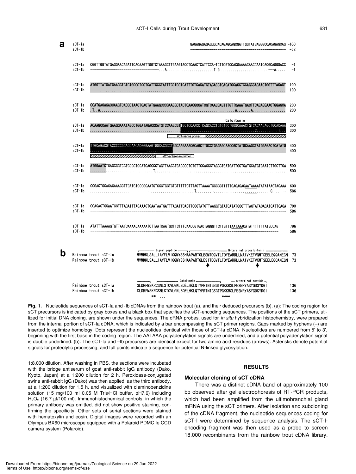| a | $sCT-1a$<br>$sCT-Ib$ |                                                                                                   | GAGAGAGAGAGGGCACAGAGCAGCGATTGGTATGAGGGCCACAGAGCAG -100                                                                                                                                                           | $-62$        |
|---|----------------------|---------------------------------------------------------------------------------------------------|------------------------------------------------------------------------------------------------------------------------------------------------------------------------------------------------------------------|--------------|
|   | sCT-la<br>$sCT-Ib$   |                                                                                                   | CGGTTGGTATGAGGAACAGATTCACAAGTTGGTCTAAAGCTTGAAGTACCTCAACTCATTCCA-TCTTCGTCCACGAAAACAACCAATCACGCAGGGACC                                                                                                             | $-1$<br>$-1$ |
|   | sCT-la<br>$sC1 - lb$ |                                                                                                   |                                                                                                                                                                                                                  | 100<br>100   |
|   | sCT-la<br>sCT-Ib     |                                                                                                   | CCATGACAGACCAAGTCACGCTAACTGACTATGAAGCCCGAAGGCTACTCAACGCCATCGTCAAGGAGTTTGTTCAAATGACTTCAGAGGAACTGGAGCA                                                                                                             | 200<br>200   |
|   | sCT-la<br>$sCT-1b$   |                                                                                                   | Calcitonin<br>ACAAGCCAATGAAGGAAATAGCCTGGATAGACCCATGTCCAAGCGTIGCTCCAACCTCAGCACCTGTGTGCTGGGCAAACTGTCACAAGAGCTGCACAAA                                                                                               | 300<br>300   |
|   | sCT-la<br>$sCT-1b$   |                                                                                                   | TTGCAGACGTACCCCCGCACCAACACGGGAAGTGGCACGCCTGGC <b>AAGAAACGCAGCTTGCCTGAGAGCAACCGCTATGCAAGCTATGGAGACTCATATG</b>                                                                                                     | 400<br>400   |
|   | sCT-la<br>$sCT-lb$   |                                                                                                   |                                                                                                                                                                                                                  | 500<br>500   |
|   | sCT-la<br>$sCT-Ib$   |                                                                                                   | CCGACTGCAGAGAAACCTTGATGTCCCGCAATGTCCCTGCTCTCTTTTTCTTTAGTTAAAATCCCCCTTTTTGACAGAGAATAAAATATATAAGTACAAA                                                                                                             | 600<br>586   |
|   | sCT-la<br>$sCT-Ib$   |                                                                                                   | GCAGAGTCCAATCCTTTAGATTTAGAAAGTGAATAATGATTTAGATTCACTTCCCTATCTTAAGGTGTATGATATCCCTTTACTATACAGATCATTCACA 700                                                                                                         | 586          |
|   | sCT-la<br>$sCT-Ib$   | ATATTTAAAAGTGTTAATCAAAACAAAAATCTTAATCAATGCTTCTTTCAACCGTGACTAGGGTTCTTTGTTTAATAAACATATTTTTTTATGCCAG |                                                                                                                                                                                                                  | 796<br>586   |
| b |                      | Rainbow trout sCT-la<br>Rainbow trout sCT-1b                                                      | N-terminal procalcitonin _<br>Signal peptide _________<br>MVMMKLSALLIAYFLVICQMYSSHAAPARTGLESMTDQVTLTDYEARRLLNAIVKEFVQMTSEELEQQANEGN<br>MVMMKLSALLIAYFLVICQMYSSHAAPARTGLESITDQVTLTDYEARRLLNAIVKEFVKMTSEELEQQANEGN | 73<br>73     |
|   |                      | Rainbow trout sCT-la<br>Rainbow trout sCT-Ib                                                      | Calcitonin __<br>C-terminal peptide<br>SLDRPMSKRCSNLSTCVLGKLSQELHKLQTYPRTNTGSGTPGKKRSLPESNRYASYGDSYDGI<br>SLDRPMSKRCSNLSTCVLGKLSQELHKLQTYPRTNTGSGTPGKKRSLPESNRYASYGDSYDGI<br>**<br>****<br>$\sim 100$            | 136<br>136   |

**Fig. 1.** Nucleotide sequences of sCT-Ia and -Ib cDNAs from the rainbow trout (a), and their deduced precursors (b). (a): The coding region for sCT precursors is indicated by gray boxes and a black box that specifies the sCT-encoding sequences. The positions of the sCT primers, utilized for initial DNA cloning, are shown under the sequences. The cRNA probes, used for *in situ* hybridization histochemistry, were prepared from the internal portion of sCT-Ia cDNA, which is indicated by a bar encompassing the sCT primer regions. Gaps marked by hyphens (-) are inserted to optimize homology. Dots represent the nucleotides identical with those of sCT-Ia cDNA. Nucleotides are numbered from 5' to 3', beginning with the first base in the coding region. The AATAAA polyadenylation signals are underlined, and a potential polyadenylation signal is double underlined. (b): The sCT-Ia and –Ib precursors are identical except for two amino acid residues (arrows). Asterisks denote potential signals for proteolytic processing, and full points indicate a sequence for potential N-linked glycosylation.

1:8,000 dilution. After washing in PBS, the sections were incubated with the bridge antiserum of goat anti-rabbit IgG antibody (Dako, Kyoto, Japan) at a 1:200 dilution for 2 h. Peroxidase-conjugated swine anti-rabbit IgG (Dako) was then applied, as the third antibody, at a 1:200 dilution for 1.5 h, and visualized with diaminobenzidine solution (15 mg/100 ml 0.05 M Tris/HCl buffer, pH7.6) including H<sub>2</sub>O<sub>2</sub> (16.7 µl/100 ml). Immunohistochemical controls, in which the primary antibody was omitted, did not show positive staining, confirming the specificity. Other sets of serial sections were stained with hematoxylin and eosin. Digital images were recorded with an Olympus BX60 microscope equipped with a Polaroid PDMC Ie CCD camera system (Polaroid).

## **RESULTS**

## **Molecular cloning of sCT cDNA**

There was a distinct cDNA band of approximately 100 bp observed after gel electrophoresis of RT-PCR products, which had been amplified from the ultimobranchial gland mRNA using the sCT primers. After isolation and subcloning of the cDNA fragment, the nucleotide sequences coding for sCT-I were determined by sequence analysis. The sCT-Iencoding fragment was then used as a probe to screen 18,000 recombinants from the rainbow trout cDNA library.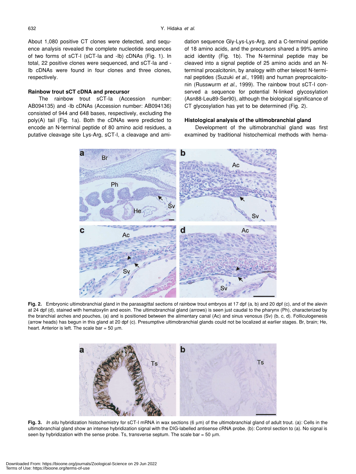About 1,080 positive CT clones were detected, and sequence analysis revealed the complete nucleotide sequences of two forms of sCT-I (sCT-Ia and -Ib) cDNAs (Fig. 1). In total, 22 positive clones were sequenced, and sCT-Ia and - Ib cDNAs were found in four clones and three clones, respectively.

## **Rainbow trout sCT cDNA and precursor**

The rainbow trout sCT-Ia (Accession number: AB094135) and -Ib cDNAs (Accession number: AB094136) consisted of 944 and 648 bases, respectively, excluding the poly(A) tail (Fig. 1a). Both the cDNAs were predicted to encode an N-terminal peptide of 80 amino acid residues, a putative cleavage site Lys-Arg, sCT-I, a cleavage and amidation sequence Gly-Lys-Lys-Arg, and a C-terminal peptide of 18 amino acids, and the precursors shared a 99% amino acid identity (Fig. 1b). The N-terminal peptide may be cleaved into a signal peptide of 25 amino acids and an Nterminal procalcitonin, by analogy with other teleost N-terminal peptides (Suzuki *et al.,* 1998) and human preprocalcitonin (Russwurm *et al.,* 1999). The rainbow trout sCT-I conserved a sequence for potential N-linked glycosylation (Asn88-Leu89-Ser90), although the biological significance of CT glycosylation has yet to be determined (Fig. 2).

## **Histological analysis of the ultimobranchial gland**

Development of the ultimobranchial gland was first examined by traditional histochemical methods with hema-



**Fig. 2.** Embryonic ultimobranchial gland in the parasagittal sections of rainbow trout embryos at 17 dpf (a, b) and 20 dpf (c), and of the alevin at 24 dpf (d), stained with hematoxylin and eosin. The ultimobranchial gland (arrows) is seen just caudal to the pharynx (Ph), characterized by the branchial arches and pouches, (a) and is positioned between the alimentary canal (Ac) and sinus venosus (Sv) (b, c, d). Folliculogenesis (arrow heads) has begun in this gland at 20 dpf (c). Presumptive ultimobranchial glands could not be localized at earlier stages. Br, brain; He, heart. Anterior is left. The scale bar =  $50 \mu m$ .



**Fig. 3.** *In situ* hybridization histochemistry for sCT-I mRNA in wax sections (6 µm) of the ultimobranchial gland of adult trout. (a): Cells in the ultimobranchial gland show an intense hybridization signal with the DIG-labelled antisense cRNA probe. (b): Control section to (a). No signal is seen by hybridization with the sense probe. Ts, transverse septum. The scale bar =  $50 \mu m$ .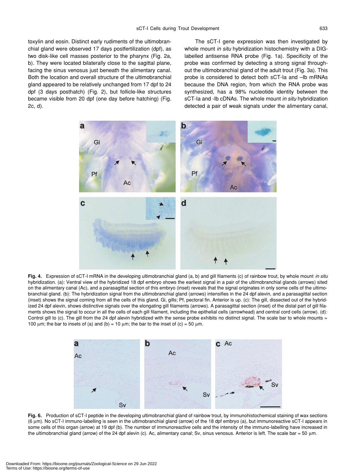toxylin and eosin. Distinct early rudiments of the ultimobranchial gland were observed 17 days postfertilization (dpf), as two disk-like cell masses posterior to the pharynx (Fig. 2a, b). They were located bilaterally close to the sagittal plane, facing the sinus venosus just beneath the alimentary canal. Both the location and overall structure of the ultimobranchial gland appeared to be relatively unchanged from 17 dpf to 24 dpf (3 days posthatch) (Fig. 2), but follicle-like structures became visible from 20 dpf (one day before hatching) (Fig.

2c, d).

The sCT-I gene expression was then investigated by whole mount *in situ* hybridization histochemistry with a DIGlabelled antisense RNA probe (Fig. 1a). Specificity of the probe was confirmed by detecting a strong signal throughout the ultimobranchial gland of the adult trout (Fig. 3a). This probe is considered to detect both sCT-Ia and –Ib mRNAs because the DNA region, from which the RNA probe was synthesized, has a 98% nucleotide identity between the sCT-Ia and -Ib cDNAs. The whole mount *in situ* hybridization detected a pair of weak signals under the alimentary canal,



**Fig. 4.** Expression of sCT-I mRNA in the developing ultimobranchial gland (a, b) and gill filaments (c) of rainbow trout, by whole mount *in situ* hybridization. (a): Ventral view of the hybridized 18 dpf embryo shows the earliest signal in a pair of the ultimobranchial glands (arrows) sited on the alimentary canal (Ac), and a parasagittal section of this embryo (inset) reveals that the signal originates in only some cells of the ultimobranchial gland. (b): The hybridization signal from the ultimobranchial gland (arrows) intensifies in the 24 dpf alevin, and a parasagittal section (inset) shows the signal coming from all the cells of this gland. Gi, gills; Pf, pectoral fin. Anterior is up. (c): The gill, dissected out of the hybridized 24 dpf alevin, shows distinctive signals over the elongating gill filaments (arrows). A parasagittal section (inset) of the distal part of gill filaments shows the signal to occur in all the cells of each gill filament, including the epithelial cells (arrowhead) and central cord cells (arrow). (d): Control gill to (c). The gill from the 24 dpf alevin hybridized with the sense probe exhibits no distinct signal. The scale bar to whole mounts = 100  $\mu$ m; the bar to insets of (a) and (b) = 10  $\mu$ m; the bar to the inset of (c) = 50  $\mu$ m.



**Fig. 6.** Production of sCT-I peptide in the developing ultimobranchial gland of rainbow trout, by immunohistochemical staining of wax sections (6 µm). No sCT-I immuno-labelling is seen in the ultimobranchial gland (arrow) of the 18 dpf embryo (a), but immunoreactive sCT-I appears in some cells of this organ (arrow) at 19 dpf (b). The number of immunoreactive cells and the intensity of the immuno-labelling have increased in the ultimobranchial gland (arrow) of the 24 dpf alevin (c). Ac, alimentary canal; Sv, sinus venosus. Anterior is left. The scale bar = 50 µm.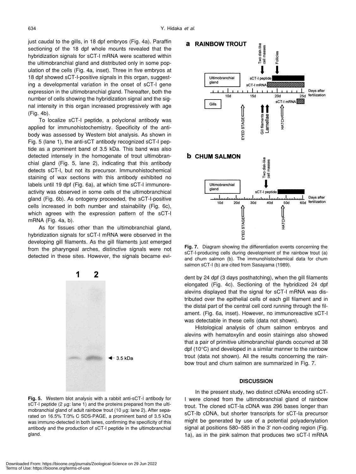just caudal to the gills, in 18 dpf embryos (Fig. 4a). Paraffin sectioning of the 18 dpf whole mounts revealed that the hybridization signals for sCT-I mRNA were scattered within the ultimobranchial gland and distributed only in some population of the cells (Fig. 4a, inset). Three in five embryos at 18 dpf showed sCT-I-positive signals in this organ, suggesting a developmental variation in the onset of sCT-I gene expression in the ultimobranchial gland. Thereafter, both the number of cells showing the hybridization signal and the signal intensity in this organ increased progressively with age (Fig. 4b).

To localize sCT-I peptide, a polyclonal antibody was applied for immunohistochemistry. Specificity of the antibody was assessed by Western blot analysis. As shown in Fig. 5 (lane 1), the anti-sCT antibody recognized sCT-I peptide as a prominent band of 3.5 kDa. This band was also detected intensely in the homogenate of trout ultimobranchial gland (Fig. 5, lane 2), indicating that this antibody detects sCT-I, but not its precursor. Immunohistochemical staining of wax sections with this antibody exhibited no labels until 19 dpf (Fig. 6a), at which time sCT-I immunoreactivity was observed in some cells of the ultimobranchical gland (Fig. 6b). As ontogeny proceeded, the sCT-I-positive cells increased in both number and stainability (Fig. 6c), which agrees with the expression pattern of the sCT-I mRNA (Fig. 4a, b).

As for tissues other than the ultimobranchial gland, hybridization signals for sCT-I mRNA were observed in the developing gill filaments. As the gill filaments just emerged from the pharyngeal arches, distinctive signals were not detected in these sites. However, the signals became evi-



**Fig. 5.** Western blot analysis with a rabbit anti-sCT-I antibody for sCT-I peptide (2 µg: lane 1) and the proteins prepared from the ultimobranchial gland of adult rainbow trout (10 µg: lane 2). After separated on 16.5% T/3% C SDS-PAGE, a prominent band of 3.5 kDa was immuno-detected in both lanes, confirming the specificity of this antibody and the production of sCT-I peptide in the ultimobranchial gland.



**Fig. 7.** Diagram showing the differentiation events concerning the sCT-I-producing cells during development of the rainbow trout (a) and chum salmon (b). The immunohistochemical data for chum salmon sCT-I (b) are cited from Sasayama (1989).

dent by 24 dpf (3 days posthatching), when the gill filaments elongated (Fig. 4c). Sectioning of the hybridized 24 dpf alevins displayed that the signal for sCT-I mRNA was distributed over the epithelial cells of each gill filament and in the distal part of the central cell cord running through the filament. (Fig. 6a, inset). However, no immunoreactive sCT-I was detectable in these cells (data not shown).

Histological analysis of chum salmon embryos and alevins with hematoxylin and eosin stainings also showed that a pair of primitive ultimobranchial glands occurred at 38 dpf (10°C) and developed in a similar manner to the rainbow trout (data not shown). All the results concerning the rainbow trout and chum salmon are summarized in Fig. 7.

### **DISCUSSION**

In the present study, two distinct cDNAs encoding sCT-I were cloned from the ultimobranchial gland of rainbow trout. The cloned sCT-Ia cDNA was 296 bases longer than sCT-Ib cDNA, but shorter transcripts for sCT-Ia precursor might be generated by use of a potential polyadenylation signal at positions 580–585 in the 3' non-coding region (Fig. 1a), as in the pink salmon that produces two sCT-I mRNA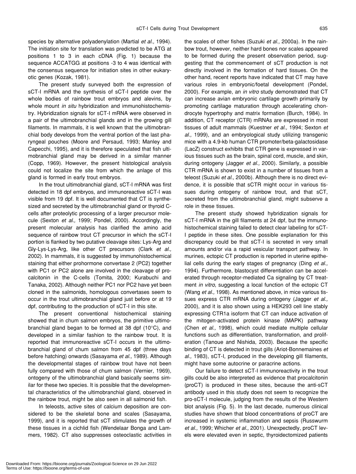species by alternative polyadenylation (Martial *et al.,* 1994). The initiation site for translation was predicted to be ATG at positions 1 to 3 in each cDNA (Fig. 1) because the sequence ACCATGG at positions -3 to 4 was identical with the consensus sequence for initiation sites in other eukaryotic genes (Kozak, 1981).

The present study surveyed both the expression of sCT-I mRNA and the synthesis of sCT-I peptide over the whole bodies of rainbow trout embryos and alevins, by whole mount *in situ* hybridization and immunohistochemistry. Hybridization signals for sCT-I mRNA were observed in a pair of the ultimobranchial glands and in the growing gill filaments. In mammals, it is well known that the ultimobranchial body develops from the ventral portion of the last pharyngeal pouches (Moore and Persaud, 1993; Manley and Capecchi, 1995), and it is therefore speculated that fish ultimobranchial gland may be derived in a similar manner (Copp, 1969). However, the present histological analysis could not localize the site from which the anlage of this gland is formed in early trout embryos.

In the trout ultimobranchial gland, sCT-I mRNA was first detected in 18 dpf embryos, and immunoreactive sCT-I was visible from 19 dpf. It is well documented that CT is synthesized and secreted by the ultimobranchial gland or thyroid Ccells after proteolytic processing of a larger precursor molecule (Sexton *et al.,* 1999; Pondel, 2000). Accordingly, the present molecular analysis has clarified the amino acid sequence of rainbow trout CT precursor in which the sCT-I portion is flanked by two putative cleavage sites: Lys-Arg and Gly-Lys-Lys-Arg, like other CT precursors (Clark *et al.,* 2002). In mammals, it is suggested by immunohistochemical staining that either prohormone convertase 2 (PC2) together with PC1 or PC2 alone are involved in the cleavage of procalcitonin in the C-cells (Tomita, 2000; Kurabuchi and Tanaka, 2002). Although neither PC1 nor PC2 have yet been cloned in the salmonids, homologous convertases seem to occur in the trout ultimobranchial gland just before or at 19 dpf, contributing to the production of sCT-I in this site.

The present conventional histochemical staining showed that in chum salmon embryos, the primitive ultimobranchial gland began to be formed at 38 dpf (10°C), and developed in a similar fashion to the rainbow trout. It is reported that immunoreactive sCT-I occurs in the ultimobranchial gland of chum salmon from 45 dpf (three days before hatching) onwards (Sasayama *et al.,* 1989). Although the developmental stages of rainbow trout have not been fully compared with those of chum salmon (Vernier, 1969), ontogeny of the ultimobranchial gland basically seems similar for these two species. It is possible that the developmental characteristics of the ultimobranchial gland, observed in the rainbow trout, might be also seen in all salmonid fish.

In teleosts, active sites of calcium deposition are considered to be the skeletal bone and scales (Sasayama, 1999), and it is reported that sCT stimulates the growth of these tissues in a cichlid fish (Wendelaar Bonga and Lammers, 1982). CT also suppresses osteoclastic activities in the scales of other fishes (Suzuki *et al.,* 2000a). In the rainbow trout, however, neither hard bones nor scales appeared to be formed during the present observation period, suggesting that the commencement of sCT production is not directly involved in the formation of hard tissues. On the other hand, recent reports have indicated that CT may have various roles in embryonic/foetal development (Pondel, 2000). For example, an *in vitro* study demonstrated that CT can increase avian embryonic cartilage growth primarily by promoting cartilage maturation through accelerating chondrocyte hypertrophy and matrix formation (Burch, 1984). In addition, CT receptor (CTR) mRNAs are expressed in most tissues of adult mammals (Kuestner *et al.,* 1994; Sexton *et al.,* 1999), and an embryological study utilizing transgenic mice with a 4.9-kb human CTR promoter/beta-galactosidase (LacZ) construct exhibits that CTR gene is expressed in various tissues such as the brain, spinal cord, muscle, and skin, during ontogeny (Jagger *et al.,* 2000). Similarly, a possible CTR mRNA is shown to exist in a number of tissues from a teleost (Suzuki *et al.,* 2000b). Although there is no direct evidence, it is possible that sCTR might occur in various tissues during ontogeny of rainbow trout, and that sCT, secreted from the ultimobranchial gland, might subserve a role in these tissues.

The present study showed hybridization signals for sCT-I mRNA in the gill filaments at 24 dpf, but the immunohistochemical staining failed to detect clear labeling for sCT-I peptide in these sites. One possible explanation for this discrepancy could be that sCT-I is secreted in very small amounts and/or via a rapid vesicular transport pathway. In murines, ectopic CT production is reported in uterine epithelial cells during the early stages of pregnancy (Ding *et al.,* 1994). Furthermore, blastocyst differentiation can be accelerated through receptor-mediated Ca signaling by CT treatment *in vitro*, suggesting a local function of the ectopic CT (Wang *et al.,* 1998). As mentioned above, in mice various tissues express CTR mRNA during ontogeny (Jagger *et al.,* 2000), and it is also shown using a HEK293 cell line stably expressing CTR1a isoform that CT can induce activation of the mitogen-activated protein kinase (MAPK) pathway (Chen *et al.,* 1998), which could mediate multiple cellular functions such as differentiation, transformation, and proliferation (Tanoue and Nishida, 2003). Because the specific binding of CT is detected in trout gills (Ariot-Bonnemaines *et al.,* 1983), sCT-I, produced in the developing gill filaments, might have some autocrine or paracrine actions.

Our failure to detect sCT-I immunoreactivity in the trout gills could be also interpreted as evidence that procalcitonin (proCT) is produced in these sites, because the anti-sCT antibody used in this study does not seem to recognize the pro-sCT-I molecule, judging from the results of the Western blot analysis (Fig. 5). In the last decade, numerous clinical studies have shown that blood concentrations of proCT are increased in systemic inflammation and sepsis (Russwurm *et al.,* 1999; Whicher *et al.,* 2001). Unexpectedly, proCT levels were elevated even in septic, thyroidectomized patients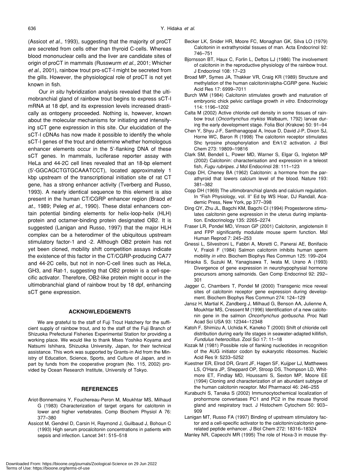(Assicot *et al.,* 1993), suggesting that the majority of proCT are secreted from cells other than thyroid C-cells. Whereas blood mononuclear cells and the liver are candidate sites of origin of proCT in mammals (Russwurm *et al.,* 2001; Whicher *et al.,* 2001), rainbow trout pro-sCT-I might be secreted from the gills. However, the physiological role of proCT is not yet known in fish.

Our *in situ* hybridization analysis revealed that the ultimobranchial gland of rainbow trout begins to express sCT-I mRNA at 18 dpf, and its expression levels increased drastically as ontogeny proceeded. Nothing is, however, known about the molecular mechanisms for initiating and intensifying sCT gene expression in this site. Our elucidation of the sCT-I cDNAs has now made it possible to identify the whole sCT-I genes of the trout and determine whether homologous enhancer elements occur in the 5'-flanking DNA of these sCT genes. In mammals, luciferase reporter assay with HeLa and 44-2C cell lines revealed that an 18-bp element (5'-GGCAGCTGTGCAAATCCT), located approximately 1 kbp upstream of the transcriptional initiation site of rat CT gene, has a strong enhancer activity (Tverberg and Russo, 1993). A nearly identical sequence to this element is also present in the human CT/CGRP enhancer region (Braod *et at.,* 1989; Peleg *et al.,* 1990). These distal enhancers contain potential binding elements for helix-loop-helix (HLH) protein and octamer-binding protein designated OB2. It is suggested (Lanigan and Russo, 1997) that the major HLH complex can be a heterodimer of the ubiquitous upstream stimulatory factor-1 and -2. Although OB2 protein has not yet been cloned, mobility shift competition assays indicate the existence of this factor in the CT/CGRP-producing CA77 and 44-2C cells, but not in non-C-cell lines such as HeLa, GH3, and Rat-1, suggesting that OB2 protein is a cell-specific activator. Therefore, OB2-like protein might occur in the ultimobranchial gland of rainbow trout by 18 dpf, enhancing sCT gene expression.

## **ACKNOWLEDGEMENTS**

We are grateful to the staff of Fuji Trout Hatchery for the sufficient supply of rainbow trout, and to the staff of the Fuji Branch of Shizuoka Prefectural Fisheries Experimental Station for providing a working place. We would like to thank Mses Yoshiko Koyama and Natsumi Ishihara, Shizuoka University, Japan, for their technical assistance. This work was supported by Grants-in Aid from the Ministry of Education, Science, Sports, and Culture of Japan, and in part by funds from the cooperative program (No. 115, 2002) provided by Ocean Research Institute, University of Tokyo.

## **REFERENCES**

- Ariot-Bonnemains Y, Fouchereau-Peron M, Moukhtar MS, Milhaud G (1983) Characterization of target organs for calcitonin in lower and higher vertebrates. Comp Biochem Physiol A 76: 377–380
- Assicot M, Gendrel D, Carsin H, Raymond J, Guilbaud J, Bohoun C (1993) High serum procalcitonin concentrations in patients with sepsis and infection. Lancet 341: 515–518
- Becker LK, Snider HR, Moore FC, Monaghan GK, Silva LO (1979) Calcitonin in extrathyroidal tissues of man. Acta Endocrinol 92: 746–751
- Bjornsson BT, Haux C, Forlin L, Deftos LJ (1986) The involvement of calcitonin in the reproductive physiology of the rainbow trout. J Endocrinol 108: 17–23
- Broad MP, Symes JA, Thakker VR, Craig KR (1989) Structure and methylation of the human calcitonin/alpha-CGRP gene. Nucleic Acid Res 17: 6999–7011
- Burch WM (1984) Calcitonin stimulates growth and maturation of embryonic chick pelvic cartilage growth *in vitro*. Endocrinology 114: 1196–1202
- Calta M (2002) Active chloride cell density in some tissues of rainbow trout (*Oncorhynchus mykiss* Walbaum, 1792) larvae during the early development stage. Folia Biol (Krakow) 50: 91–94
- Chen Y, Shyu J-F, Santhanagopal A, Inoue D, David J-P, Dixon SJ, Horne WC, Baron R (1998) The calcitonin receptor stimulates Shc tyrosine phosphorylation and Erk1/2 activation. J Biol Chem 273: 19809–19816
- Clark SM, Bendell L, Power MD, Warner S, Elgar G, Ingleton MP (2002) Calcitonin: characterisation and expression in a teleost fish, *Fugu rubripes*. J Mol Endocrinol 28: 111–123
- Copp DH, Cheney BA (1962) Calcitonin: a hormone from the parathyroid that lowers calcium level of the blood. Nature 193: 381–382
- Copp DH (1969) The ultimobranchial glands and calcium regulation. In "Fish Physiology, vol. II" Ed by WS Hoar, DJ Randall, Academic Press, New York, pp 377–398
- Ding QY, Zhu JL, Bagchi KM, Bagchi CI (1994) Progesterone stimulates calcitonin gene expression in the uterus during implantation. Endocrinology 135: 2265–2274
- Fraser LR, Pondel MD, Vinson GP (2001) Calcitonin, angiotensin II and FPP significantly modulate mouse sperm function. Mol Human Reprod 7: 245–253
- Gnessi L, Silvestroni L, Fabbri A, Moretti C, Panerai AE, Bonifacio V, Fraioli F (1984) Salmon calcitonin inhibits human sperm mobility *in vitro*. Biochem Biophys Res Commun 125: 199–204
- Hiraoka S, Suzuki M, Yanagisawa T, Iwata M, Urano A (1993) Divergence of gene expression in neurohypophysial hormone precursors among salmonids. Gen Comp Endocrinol 92: 292– 301
- Jagger C, Chambers T, Pondel M (2000) Transgenic mice reveal sites of calcitonin receptor gene expression during development. Biochem Biophys Res Commun 274: 124–129
- Jansz H, Martial K, Zandberg J, Milhaud G, Benson AA, Julienne A, Moukhtar MS, Cressent M (1996) Identification of a new calcitonin gene in the salmon *Oncorhynchus gorbuscha*. Proc Natl Acad Sci USA 93: 12344–12348
- Katoh F, Shimizu A, Uchida K, Kaneko T (2000) Shift of chloride cell distribution during early life stages in seawater-adapted killifish, *Fundulus heteroclitus*. Zool Sci 17: 11–18
- Kozak M (1981) Possible role of flanking nucleotides in recognition of the AUG initiator codon by eukaryotic ribosomes. Nucleic Acid Res 9: 5233–5252
- Kuestner ER, Elrod DR, Grant JF, Hagen SF, Kuijper LJ, Matthewes LS, O'Hara JP, Sheppard OP, Stroop DS, Thompson LD, Whitmore ET, Findlay MD, Houssami S, Sexton MP, Moore EE (1994) Cloning and characterization of an abundant subtype of the human calcitonin receptor. Mol Pharmacol 46: 246–255
- Kurabuchi S, Tanaka S (2002) Immunocytochemical localization of prohormone convertases PC1 and PC2 in the mouse thyroid gland and respiratory tract. J Histochem Cytochem 50: 903– 909
- Lanigan MT, Russo FA (1997) Binding of upstream stimulatory factor and a cell-specific activator to the calcitonin/calcitonin generelated peptide enhancer. J Biol Chem 272: 18316–18324
- Manley NR, Capecchi MR (1995) The role of Hoxa-3 in mouse thy-